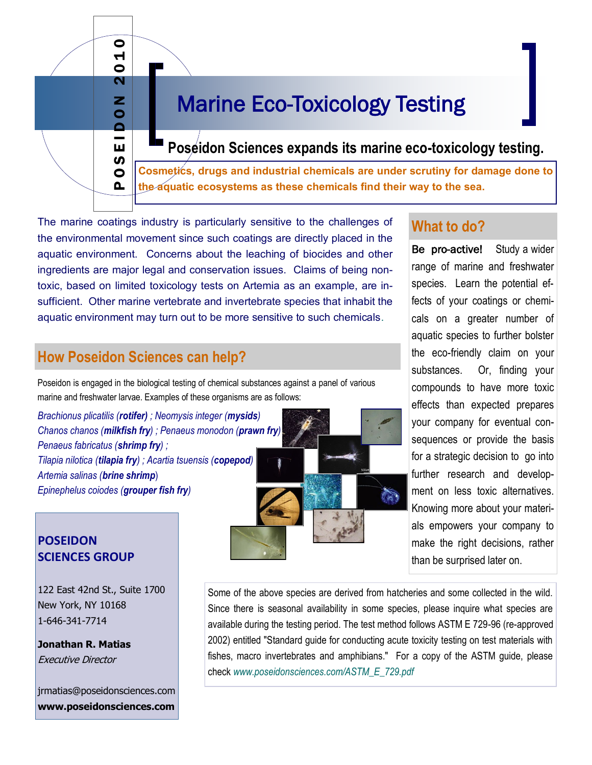# Marine Eco-Toxicology Testing

**Poseidon Sciences expands its marine eco-toxicology testing.**

**Cosmetics, drugs and industrial chemicals are under scrutiny for damage done to the aquatic ecosystems as these chemicals find their way to the sea.**

The marine coatings industry is particularly sensitive to the challenges of the environmental movement since such coatings are directly placed in the aquatic environment. Concerns about the leaching of biocides and other ingredients are major legal and conservation issues. Claims of being nontoxic, based on limited toxicology tests on Artemia as an example, are insufficient. Other marine vertebrate and invertebrate species that inhabit the aquatic environment may turn out to be more sensitive to such chemicals.

## **How Poseidon Sciences can help?**

P O S E I D O N 2 0 1 0

Z  $\mathbf{\bullet}$  $\overline{\mathsf{d}}$ 

Ш ທ  $\bullet$ ൨

 $\bullet$  $\blacktriangleright$ 0 N

Poseidon is engaged in the biological testing of chemical substances against a panel of various marine and freshwater larvae. Examples of these organisms are as follows:

*Brachionus plicatilis (rotifer) ; Neomysis integer (mysids) Chanos chanos (milkfish fry) ; Penaeus monodon (prawn fry) Penaeus fabricatus (shrimp fry) ; Tilapia nilotica (tilapia fry) ; Acartia tsuensis (copepod) Artemia salinas (brine shrimp*) *Epinephelus coiodes (grouper fish fry)* 



# **What to do?**

Be pro-active! Study a wider range of marine and freshwater species. Learn the potential effects of your coatings or chemicals on a greater number of aquatic species to further bolster the eco-friendly claim on your substances. Or, finding your compounds to have more toxic effects than expected prepares your company for eventual consequences or provide the basis for a strategic decision to go into further research and development on less toxic alternatives. Knowing more about your materials empowers your company to make the right decisions, rather than be surprised later on.

#### **POSEIDON SCIENCES GROUP**

122 East 42nd St., Suite 1700 New York, NY 10168 1-646-341-7714

**Jonathan R. Matias** Executive Director

jrmatias@poseidonsciences.com **www.poseidonsciences.com**

Some of the above species are derived from hatcheries and some collected in the wild. Since there is seasonal availability in some species, please inquire what species are available during the testing period. The test method follows ASTM E 729-96 (re-approved 2002) entitled "Standard guide for conducting acute toxicity testing on test materials with fishes, macro invertebrates and amphibians." For a copy of the ASTM guide, please check *www.poseidonsciences.com/ASTM\_E\_729.pdf*